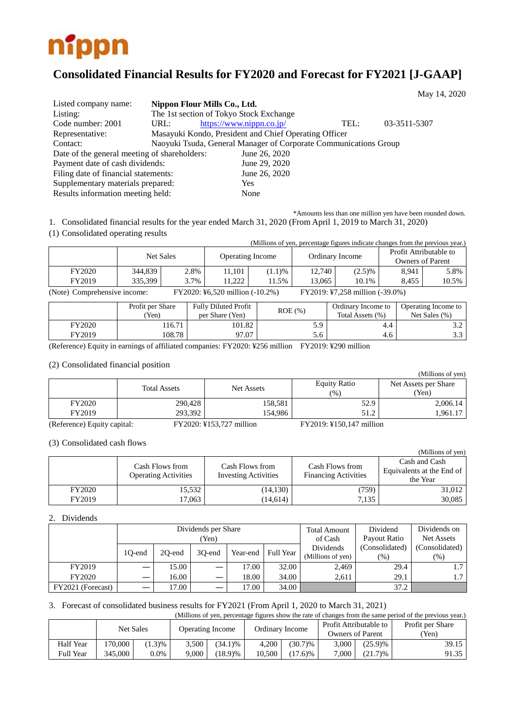

# **Consolidated Financial Results for FY2020 and Forecast for FY2021 [J-GAAP]**

|                                              |                              |                                                                  |      | May 14, 2020 |  |
|----------------------------------------------|------------------------------|------------------------------------------------------------------|------|--------------|--|
| Listed company name:                         | Nippon Flour Mills Co., Ltd. |                                                                  |      |              |  |
| Listing:                                     |                              | The 1st section of Tokyo Stock Exchange                          |      |              |  |
| Code number: 2001                            | URL:                         | https://www.nippn.co.jp/                                         | TEL: | 03-3511-5307 |  |
| Representative:                              |                              | Masayuki Kondo, President and Chief Operating Officer            |      |              |  |
| Contact:                                     |                              | Naoyuki Tsuda, General Manager of Corporate Communications Group |      |              |  |
| Date of the general meeting of shareholders: |                              | June 26, 2020                                                    |      |              |  |
| Payment date of cash dividends:              |                              | June 29, 2020                                                    |      |              |  |
| Filing date of financial statements:         |                              | June 26, 2020                                                    |      |              |  |
| Supplementary materials prepared:            |                              | Yes                                                              |      |              |  |
| Results information meeting held:            |                              | None                                                             |      |              |  |

\*Amounts less than one million yen have been rounded down. 1. Consolidated financial results for the year ended March 31, 2020 (From April 1, 2019 to March 31, 2020)

(1) Consolidated operating results

|                              |           |      |                                 |        |                 | (Millions of yen, percentage figures indicate changes from the previous year.) |                                                   |       |
|------------------------------|-----------|------|---------------------------------|--------|-----------------|--------------------------------------------------------------------------------|---------------------------------------------------|-------|
|                              | Net Sales |      | <b>Operating Income</b>         |        | Ordinary Income |                                                                                | Profit Attributable to<br><b>Owners of Parent</b> |       |
| FY2020                       | 344.839   | 2.8% | 11.101                          | (1.1)% | 12.740          | $(2.5)\%$                                                                      | 8,941                                             | 5.8%  |
| FY2019                       | 335.399   | 3.7% | 1.222                           | 1.5%   | 13.065          | 10.1%                                                                          | 8.455                                             | 10.5% |
| (Note) Comprehensive income: |           |      | FY2020: ¥6,520 million (-10.2%) |        |                 | FY2019: ¥7,258 million (-39.0%)                                                |                                                   |       |

|        | Profit per Share<br>'Yen) | <b>Fully Diluted Profit</b><br>per Share (Yen) | $ROE$ $(\% )$ | Ordinary Income to<br>Total Assets (%) | Operating Income to<br>Net Sales $(\% )$ |
|--------|---------------------------|------------------------------------------------|---------------|----------------------------------------|------------------------------------------|
| FY2020 | 16.71                     | 101.82                                         | 5.9           | 4.4                                    | ے .                                      |
| FY2019 | 108.78                    | 97.07                                          | 5.6           | 4.6                                    | ر. ر                                     |

(Reference) Equity in earnings of affiliated companies: FY2020: ¥256 million FY2019: ¥290 million

#### (2) Consolidated financial position

| $\cdots$ |                     |                   |                     | (Millions of yen)    |
|----------|---------------------|-------------------|---------------------|----------------------|
|          | <b>Total Assets</b> | <b>Net Assets</b> | <b>Equity Ratio</b> | Net Assets per Share |
|          |                     |                   | (%)                 | (Yen)                |
| FY2020   | 290,428             | 158,581           | 52.9                | 2,006.14             |
| FY2019   | 293,392             | 154.986           | 51.2                | 1,961.17             |
|          |                     |                   |                     |                      |

(Reference) Equity capital: FY2020: ¥153,727 million FY2019: ¥150,147 million

(3) Consolidated cash flows

| $\sim$        |                                                |                                                |                                                | (Millions of yen)                                      |
|---------------|------------------------------------------------|------------------------------------------------|------------------------------------------------|--------------------------------------------------------|
|               | Cash Flows from<br><b>Operating Activities</b> | Cash Flows from<br><b>Investing Activities</b> | Cash Flows from<br><b>Financing Activities</b> | Cash and Cash<br>Equivalents at the End of<br>the Year |
| <b>FY2020</b> | 15,532                                         | (14, 130)                                      | (759)                                          | 31,012                                                 |
| FY2019        | 17,063                                         | (14, 614)                                      | 7.135                                          | 30,085                                                 |

#### 2. Dividends

|                   | Dividends per Share |        |        |          |           | <b>Total Amount</b> | Dividend       | Dividends on      |      |        |
|-------------------|---------------------|--------|--------|----------|-----------|---------------------|----------------|-------------------|------|--------|
|                   | Yen)                |        |        |          |           | of Cash             | Payout Ratio   | Net Assets        |      |        |
|                   |                     |        |        |          | Full Year | Dividends           | (Consolidated) | (Consolidated)    |      |        |
|                   | 10-end              | 20-end | 30-end | Year-end |           |                     |                | (Millions of yen) | (% ) | $(\%)$ |
| FY2019            |                     | 15.00  |        | 17.00    | 32.00     | 2.469               | 29.4           | $\mathcal{L}$     |      |        |
| <b>FY2020</b>     |                     | 16.00  |        | 18.00    | 34.00     | 2.611               | 29.1           | 1.7 <sup>2</sup>  |      |        |
| FY2021 (Forecast) |                     | 17.00  |        | 17.00    | 34.00     |                     | 37.2           |                   |      |        |

#### 3. Forecast of consolidated business results for FY2021 (From April 1, 2020 to March 31, 2021)

(Millions of yen, percentage figures show the rate of changes from the same period of the previous year.)

|                  | Net Sales |         |       | Operating Income |        | Ordinary Income | Profit Attributable to<br>Owners of Parent |            | Profit per Share<br>Yen) |
|------------------|-----------|---------|-------|------------------|--------|-----------------|--------------------------------------------|------------|--------------------------|
| <b>Half Year</b> | 170.000   | 1.3%    | 3.500 | $(34.1)\%$       | 4.200  | $(30.7)\%$      | 3.000                                      | $(25.9)$ % | 39.15                    |
| <b>Full Year</b> | 345,000   | $0.0\%$ | 9,000 | (18.9)%          | 10.500 | $(0.6)$ %       | 7.000                                      | (21.7)%    | 91.35                    |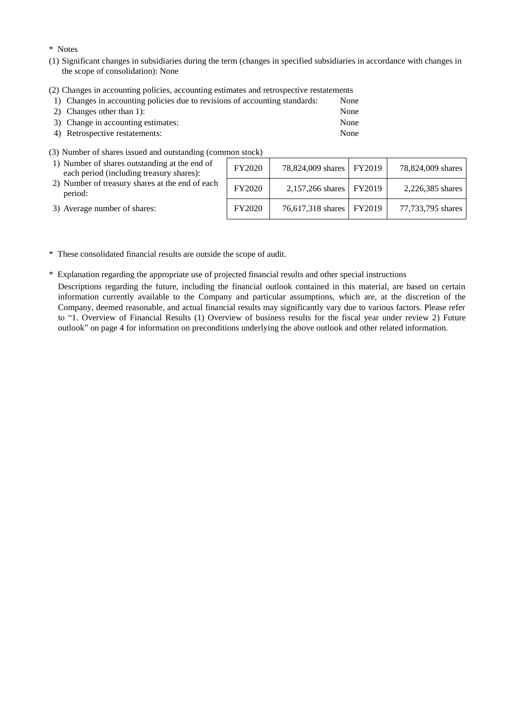#### \* Notes

- (1) Significant changes in subsidiaries during the term (changes in specified subsidiaries in accordance with changes in the scope of consolidation): None
- (2) Changes in accounting policies, accounting estimates and retrospective restatements

| 1) Changes in accounting policies due to revisions of accounting standards: | None |
|-----------------------------------------------------------------------------|------|
| 2) Changes other than 1:                                                    | None |

- 3) Change in accounting estimates: None
- 4) Retrospective restatements: None
- (3) Number of shares issued and outstanding (common stock)

| 1) Number of shares outstanding at the end of<br>each period (including treasury shares): | FY2020 | 78,824,009 shares   FY2019 | 78,824,009 shares |
|-------------------------------------------------------------------------------------------|--------|----------------------------|-------------------|
| 2) Number of treasury shares at the end of each<br>period:                                | FY2020 | 2,157,266 shares   FY2019  | 2,226,385 shares  |
| 3) Average number of shares:                                                              | FY2020 | 76,617,318 shares   FY2019 | 77,733,795 shares |

\* These consolidated financial results are outside the scope of audit.

\* Explanation regarding the appropriate use of projected financial results and other special instructions

Descriptions regarding the future, including the financial outlook contained in this material, are based on certain information currently available to the Company and particular assumptions, which are, at the discretion of the Company, deemed reasonable, and actual financial results may significantly vary due to various factors. Please refer to "1. Overview of Financial Results (1) Overview of business results for the fiscal year under review 2) Future outlook" on page 4 for information on preconditions underlying the above outlook and other related information.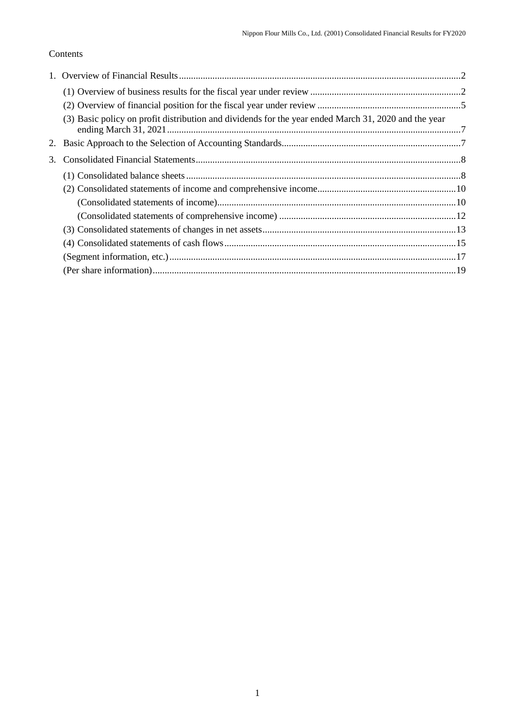# Contents

|    | (3) Basic policy on profit distribution and dividends for the year ended March 31, 2020 and the year |  |
|----|------------------------------------------------------------------------------------------------------|--|
|    |                                                                                                      |  |
| 3. |                                                                                                      |  |
|    |                                                                                                      |  |
|    |                                                                                                      |  |
|    |                                                                                                      |  |
|    |                                                                                                      |  |
|    |                                                                                                      |  |
|    |                                                                                                      |  |
|    |                                                                                                      |  |
|    |                                                                                                      |  |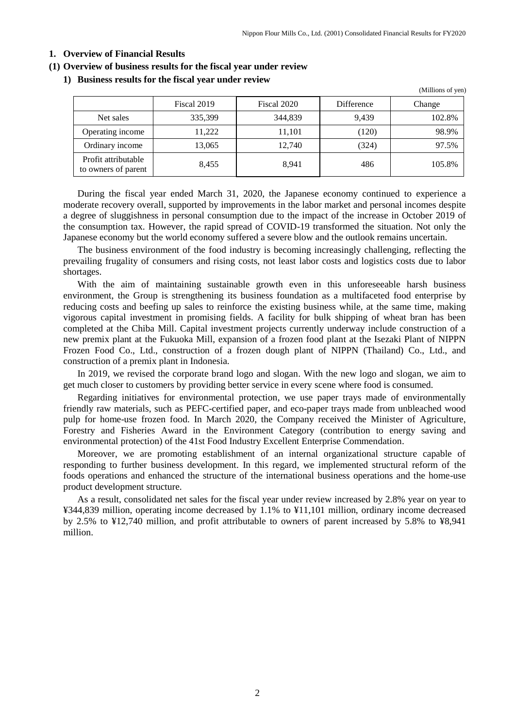## <span id="page-3-0"></span>**1. Overview of Financial Results**

#### <span id="page-3-1"></span>**(1) Overview of business results for the fiscal year under review**

#### **1) Business results for the fiscal year under review**

|                                            |             |             |            | (Millions of yen) |
|--------------------------------------------|-------------|-------------|------------|-------------------|
|                                            | Fiscal 2019 | Fiscal 2020 | Difference | Change            |
| Net sales                                  | 335,399     | 344,839     | 9.439      | 102.8%            |
| Operating income                           | 11,222      | 11,101      | (120)      | 98.9%             |
| Ordinary income                            | 13,065      | 12,740      | (324)      | 97.5%             |
| Profit attributable<br>to owners of parent | 8,455       | 8.941       | 486        | 105.8%            |

During the fiscal year ended March 31, 2020, the Japanese economy continued to experience a moderate recovery overall, supported by improvements in the labor market and personal incomes despite a degree of sluggishness in personal consumption due to the impact of the increase in October 2019 of the consumption tax. However, the rapid spread of COVID-19 transformed the situation. Not only the Japanese economy but the world economy suffered a severe blow and the outlook remains uncertain.

The business environment of the food industry is becoming increasingly challenging, reflecting the prevailing frugality of consumers and rising costs, not least labor costs and logistics costs due to labor shortages.

With the aim of maintaining sustainable growth even in this unforeseeable harsh business environment, the Group is strengthening its business foundation as a multifaceted food enterprise by reducing costs and beefing up sales to reinforce the existing business while, at the same time, making vigorous capital investment in promising fields. A facility for bulk shipping of wheat bran has been completed at the Chiba Mill. Capital investment projects currently underway include construction of a new premix plant at the Fukuoka Mill, expansion of a frozen food plant at the Isezaki Plant of NIPPN Frozen Food Co., Ltd., construction of a frozen dough plant of NIPPN (Thailand) Co., Ltd., and construction of a premix plant in Indonesia.

In 2019, we revised the corporate brand logo and slogan. With the new logo and slogan, we aim to get much closer to customers by providing better service in every scene where food is consumed.

Regarding initiatives for environmental protection, we use paper trays made of environmentally friendly raw materials, such as PEFC-certified paper, and eco-paper trays made from unbleached wood pulp for home-use frozen food. In March 2020, the Company received the Minister of Agriculture, Forestry and Fisheries Award in the Environment Category (contribution to energy saving and environmental protection) of the 41st Food Industry Excellent Enterprise Commendation.

Moreover, we are promoting establishment of an internal organizational structure capable of responding to further business development. In this regard, we implemented structural reform of the foods operations and enhanced the structure of the international business operations and the home-use product development structure.

As a result, consolidated net sales for the fiscal year under review increased by 2.8% year on year to ¥344,839 million, operating income decreased by 1.1% to ¥11,101 million, ordinary income decreased by 2.5% to ¥12,740 million, and profit attributable to owners of parent increased by 5.8% to ¥8,941 million.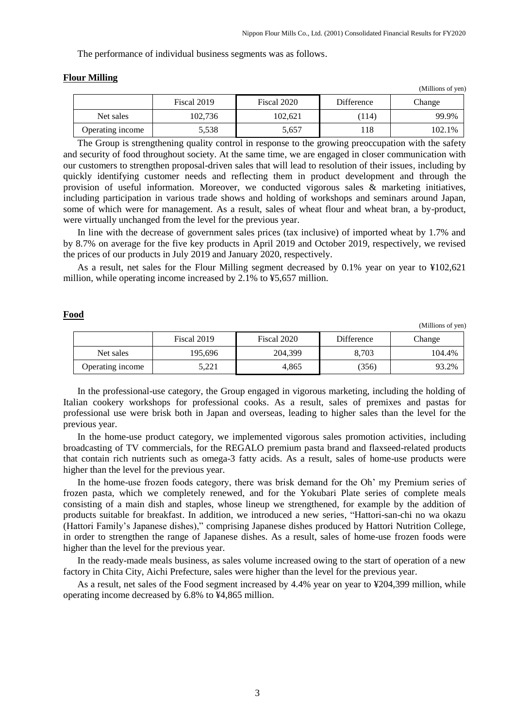The performance of individual business segments was as follows.

|                  |             |             |            | (Millions of yen) |
|------------------|-------------|-------------|------------|-------------------|
|                  | Fiscal 2019 | Fiscal 2020 | Difference | Change            |
| Net sales        | 102,736     | 102.621     | (114)      | 99.9%             |
| Operating income | 5,538       | 5,657       | 118        | 102.1%            |

#### **Flour Milling**

The Group is strengthening quality control in response to the growing preoccupation with the safety and security of food throughout society. At the same time, we are engaged in closer communication with our customers to strengthen proposal-driven sales that will lead to resolution of their issues, including by quickly identifying customer needs and reflecting them in product development and through the provision of useful information. Moreover, we conducted vigorous sales & marketing initiatives, including participation in various trade shows and holding of workshops and seminars around Japan, some of which were for management. As a result, sales of wheat flour and wheat bran, a by-product, were virtually unchanged from the level for the previous year.

In line with the decrease of government sales prices (tax inclusive) of imported wheat by 1.7% and by 8.7% on average for the five key products in April 2019 and October 2019, respectively, we revised the prices of our products in July 2019 and January 2020, respectively.

As a result, net sales for the Flour Milling segment decreased by 0.1% year on year to ¥102,621 million, while operating income increased by 2.1% to ¥5,657 million.

#### **Food**

(Millions of yen)

|                  | Fiscal 2019 | Fiscal 2020 | Difference | Change |
|------------------|-------------|-------------|------------|--------|
| Net sales        | 195.696     | 204,399     | 8.703      | 104.4% |
| Operating income | 5.221       | 4.865       | (356)      | 93.2%  |

In the professional-use category, the Group engaged in vigorous marketing, including the holding of Italian cookery workshops for professional cooks. As a result, sales of premixes and pastas for professional use were brisk both in Japan and overseas, leading to higher sales than the level for the previous year.

In the home-use product category, we implemented vigorous sales promotion activities, including broadcasting of TV commercials, for the REGALO premium pasta brand and flaxseed-related products that contain rich nutrients such as omega-3 fatty acids. As a result, sales of home-use products were higher than the level for the previous year.

In the home-use frozen foods category, there was brisk demand for the Oh' my Premium series of frozen pasta, which we completely renewed, and for the Yokubari Plate series of complete meals consisting of a main dish and staples, whose lineup we strengthened, for example by the addition of products suitable for breakfast. In addition, we introduced a new series, "Hattori-san-chi no wa okazu (Hattori Family's Japanese dishes)," comprising Japanese dishes produced by Hattori Nutrition College, in order to strengthen the range of Japanese dishes. As a result, sales of home-use frozen foods were higher than the level for the previous year.

In the ready-made meals business, as sales volume increased owing to the start of operation of a new factory in Chita City, Aichi Prefecture, sales were higher than the level for the previous year.

As a result, net sales of the Food segment increased by 4.4% year on year to ¥204,399 million, while operating income decreased by 6.8% to ¥4,865 million.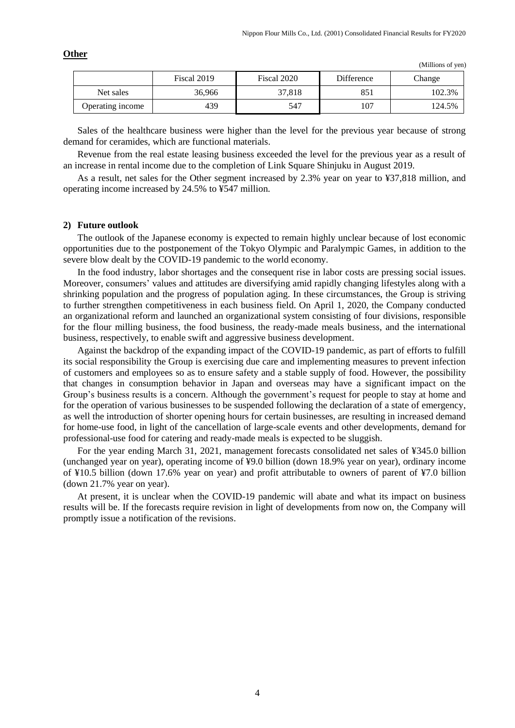|                  | Fiscal 2019 | Fiscal 2020 | Difference | Change |
|------------------|-------------|-------------|------------|--------|
| Net sales        | 36.966      | 37.818      | 851        | 102.3% |
| Operating income | 439         | 547         | 107        | 124.5% |

(Millions of yen)

Sales of the healthcare business were higher than the level for the previous year because of strong demand for ceramides, which are functional materials.

Revenue from the real estate leasing business exceeded the level for the previous year as a result of an increase in rental income due to the completion of Link Square Shinjuku in August 2019.

As a result, net sales for the Other segment increased by 2.3% year on year to ¥37,818 million, and operating income increased by 24.5% to ¥547 million.

#### **2) Future outlook**

**Other**

The outlook of the Japanese economy is expected to remain highly unclear because of lost economic opportunities due to the postponement of the Tokyo Olympic and Paralympic Games, in addition to the severe blow dealt by the COVID-19 pandemic to the world economy.

In the food industry, labor shortages and the consequent rise in labor costs are pressing social issues. Moreover, consumers' values and attitudes are diversifying amid rapidly changing lifestyles along with a shrinking population and the progress of population aging. In these circumstances, the Group is striving to further strengthen competitiveness in each business field. On April 1, 2020, the Company conducted an organizational reform and launched an organizational system consisting of four divisions, responsible for the flour milling business, the food business, the ready-made meals business, and the international business, respectively, to enable swift and aggressive business development.

Against the backdrop of the expanding impact of the COVID-19 pandemic, as part of efforts to fulfill its social responsibility the Group is exercising due care and implementing measures to prevent infection of customers and employees so as to ensure safety and a stable supply of food. However, the possibility that changes in consumption behavior in Japan and overseas may have a significant impact on the Group's business results is a concern. Although the government's request for people to stay at home and for the operation of various businesses to be suspended following the declaration of a state of emergency, as well the introduction of shorter opening hours for certain businesses, are resulting in increased demand for home-use food, in light of the cancellation of large-scale events and other developments, demand for professional-use food for catering and ready-made meals is expected to be sluggish.

For the year ending March 31, 2021, management forecasts consolidated net sales of ¥345.0 billion (unchanged year on year), operating income of ¥9.0 billion (down 18.9% year on year), ordinary income of ¥10.5 billion (down 17.6% year on year) and profit attributable to owners of parent of ¥7.0 billion (down 21.7% year on year).

At present, it is unclear when the COVID-19 pandemic will abate and what its impact on business results will be. If the forecasts require revision in light of developments from now on, the Company will promptly issue a notification of the revisions.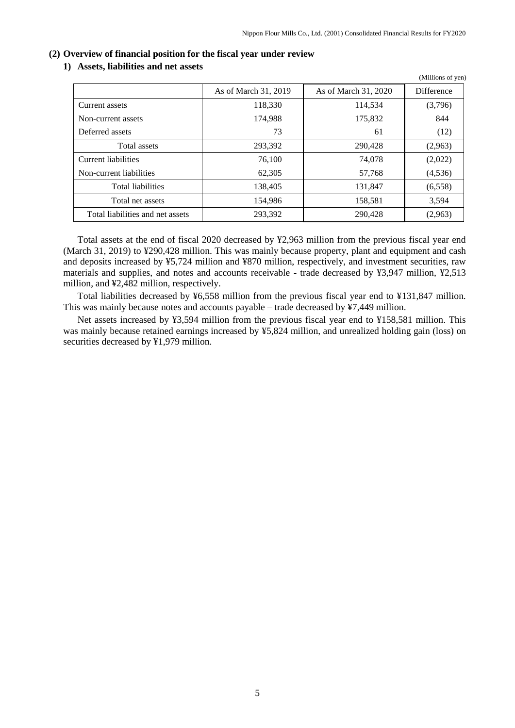$(M)$ llions of yen)

#### <span id="page-6-0"></span>**(2) Overview of financial position for the fiscal year under review**

#### **1) Assets, liabilities and net assets**

|                                  | As of March 31, 2019 | As of March 31, 2020 | Difference |
|----------------------------------|----------------------|----------------------|------------|
| Current assets                   | 118,330              | 114,534              | (3,796)    |
| Non-current assets               | 174,988              | 175,832              | 844        |
| Deferred assets                  | 73                   | 61                   | (12)       |
| Total assets                     | 293,392              | 290,428              | (2,963)    |
| Current liabilities              | 76,100               | 74,078               | (2,022)    |
| Non-current liabilities          | 62,305               | 57,768               | (4, 536)   |
| <b>Total liabilities</b>         | 138,405              | 131.847              | (6, 558)   |
| Total net assets                 | 154,986              | 158,581              | 3,594      |
| Total liabilities and net assets | 293,392              | 290,428              | (2,963)    |

Total assets at the end of fiscal 2020 decreased by ¥2,963 million from the previous fiscal year end (March 31, 2019) to ¥290,428 million. This was mainly because property, plant and equipment and cash and deposits increased by ¥5,724 million and ¥870 million, respectively, and investment securities, raw materials and supplies, and notes and accounts receivable - trade decreased by ¥3,947 million, ¥2,513 million, and ¥2,482 million, respectively.

Total liabilities decreased by ¥6,558 million from the previous fiscal year end to ¥131,847 million. This was mainly because notes and accounts payable – trade decreased by ¥7,449 million.

Net assets increased by ¥3,594 million from the previous fiscal year end to ¥158,581 million. This was mainly because retained earnings increased by ¥5,824 million, and unrealized holding gain (loss) on securities decreased by ¥1,979 million.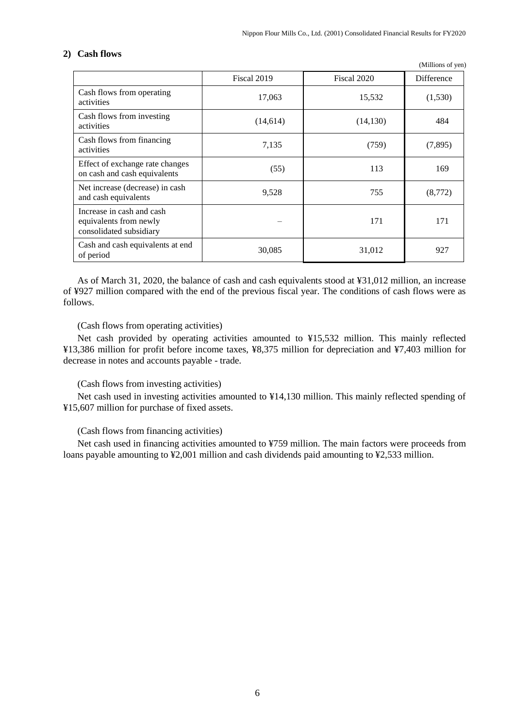(Millions of yen)

# **2) Cash flows**

|                                                                                | Fiscal 2019 | Fiscal 2020 | Difference |
|--------------------------------------------------------------------------------|-------------|-------------|------------|
| Cash flows from operating<br>activities                                        | 17,063      | 15,532      | (1,530)    |
| Cash flows from investing<br>activities                                        | (14,614)    | (14, 130)   | 484        |
| Cash flows from financing<br>activities                                        | 7,135       | (759)       | (7,895)    |
| Effect of exchange rate changes<br>on cash and cash equivalents                | (55)        | 113         | 169        |
| Net increase (decrease) in cash<br>and cash equivalents                        | 9,528       | 755         | (8,772)    |
| Increase in cash and cash<br>equivalents from newly<br>consolidated subsidiary |             | 171         | 171        |
| Cash and cash equivalents at end<br>of period                                  | 30,085      | 31,012      | 927        |

As of March 31, 2020, the balance of cash and cash equivalents stood at ¥31,012 million, an increase of ¥927 million compared with the end of the previous fiscal year. The conditions of cash flows were as follows.

## (Cash flows from operating activities)

Net cash provided by operating activities amounted to ¥15,532 million. This mainly reflected ¥13,386 million for profit before income taxes, ¥8,375 million for depreciation and ¥7,403 million for decrease in notes and accounts payable - trade.

## (Cash flows from investing activities)

Net cash used in investing activities amounted to ¥14,130 million. This mainly reflected spending of ¥15,607 million for purchase of fixed assets.

## (Cash flows from financing activities)

Net cash used in financing activities amounted to ¥759 million. The main factors were proceeds from loans payable amounting to ¥2,001 million and cash dividends paid amounting to ¥2,533 million.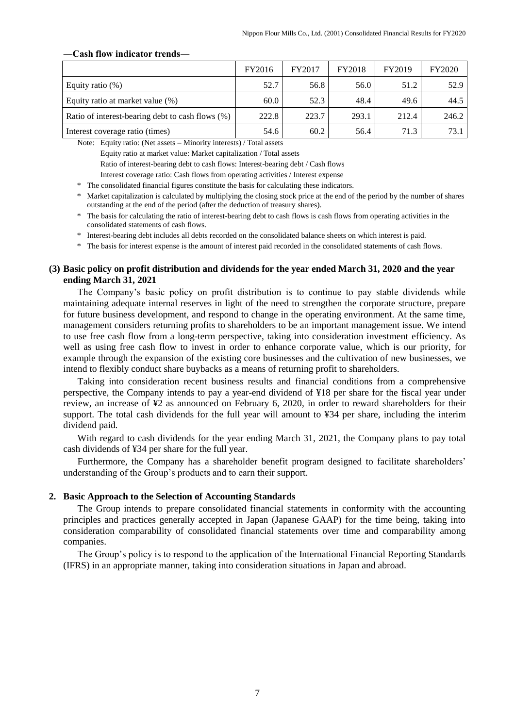|                                                  | FY2016 | FY2017 | FY2018 | FY2019 | FY2020 |
|--------------------------------------------------|--------|--------|--------|--------|--------|
| Equity ratio $(\%)$                              | 52.7   | 56.8   | 56.0   | 51.2   | 52.9   |
| Equity ratio at market value (%)                 | 60.0   | 52.3   | 48.4   | 49.6   | 44.5   |
| Ratio of interest-bearing debt to cash flows (%) | 222.8  | 223.7  | 293.1  | 212.4  | 246.2  |
| Interest coverage ratio (times)                  | 54.6   | 60.2   | 56.4   | 71.3   | 73.1   |

#### **―Cash flow indicator trends―**

Note: Equity ratio: (Net assets – Minority interests) / Total assets

Equity ratio at market value: Market capitalization / Total assets

Ratio of interest-bearing debt to cash flows: Interest-bearing debt / Cash flows

Interest coverage ratio: Cash flows from operating activities / Interest expense

\* The consolidated financial figures constitute the basis for calculating these indicators.

\* Market capitalization is calculated by multiplying the closing stock price at the end of the period by the number of shares outstanding at the end of the period (after the deduction of treasury shares).

\* The basis for calculating the ratio of interest-bearing debt to cash flows is cash flows from operating activities in the consolidated statements of cash flows.

\* Interest-bearing debt includes all debts recorded on the consolidated balance sheets on which interest is paid.

\* The basis for interest expense is the amount of interest paid recorded in the consolidated statements of cash flows.

## <span id="page-8-0"></span>**(3) Basic policy on profit distribution and dividends for the year ended March 31, 2020 and the year ending March 31, 2021**

The Company's basic policy on profit distribution is to continue to pay stable dividends while maintaining adequate internal reserves in light of the need to strengthen the corporate structure, prepare for future business development, and respond to change in the operating environment. At the same time, management considers returning profits to shareholders to be an important management issue. We intend to use free cash flow from a long-term perspective, taking into consideration investment efficiency. As well as using free cash flow to invest in order to enhance corporate value, which is our priority, for example through the expansion of the existing core businesses and the cultivation of new businesses, we intend to flexibly conduct share buybacks as a means of returning profit to shareholders.

Taking into consideration recent business results and financial conditions from a comprehensive perspective, the Company intends to pay a year-end dividend of ¥18 per share for the fiscal year under review, an increase of ¥2 as announced on February 6, 2020, in order to reward shareholders for their support. The total cash dividends for the full year will amount to ¥34 per share, including the interim dividend paid.

With regard to cash dividends for the year ending March 31, 2021, the Company plans to pay total cash dividends of ¥34 per share for the full year.

Furthermore, the Company has a shareholder benefit program designed to facilitate shareholders' understanding of the Group's products and to earn their support.

#### <span id="page-8-1"></span>**2. Basic Approach to the Selection of Accounting Standards**

The Group intends to prepare consolidated financial statements in conformity with the accounting principles and practices generally accepted in Japan (Japanese GAAP) for the time being, taking into consideration comparability of consolidated financial statements over time and comparability among companies.

The Group's policy is to respond to the application of the International Financial Reporting Standards (IFRS) in an appropriate manner, taking into consideration situations in Japan and abroad.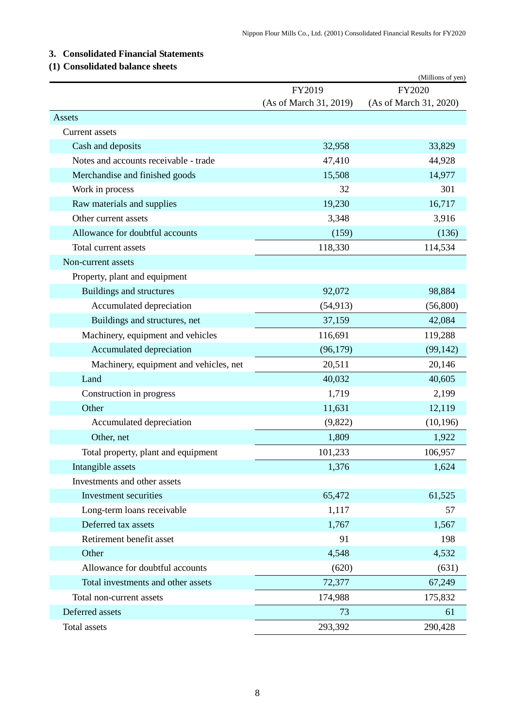# <span id="page-9-0"></span>**3. Consolidated Financial Statements**

# <span id="page-9-1"></span>**(1) Consolidated balance sheets**

|                                        |                        | (Millions of yen)      |
|----------------------------------------|------------------------|------------------------|
|                                        | FY2019                 | FY2020                 |
|                                        | (As of March 31, 2019) | (As of March 31, 2020) |
| Assets                                 |                        |                        |
| Current assets                         |                        |                        |
| Cash and deposits                      | 32,958                 | 33,829                 |
| Notes and accounts receivable - trade  | 47,410                 | 44,928                 |
| Merchandise and finished goods         | 15,508                 | 14,977                 |
| Work in process                        | 32                     | 301                    |
| Raw materials and supplies             | 19,230                 | 16,717                 |
| Other current assets                   | 3,348                  | 3,916                  |
| Allowance for doubtful accounts        | (159)                  | (136)                  |
| Total current assets                   | 118,330                | 114,534                |
| Non-current assets                     |                        |                        |
| Property, plant and equipment          |                        |                        |
| Buildings and structures               | 92,072                 | 98,884                 |
| Accumulated depreciation               | (54, 913)              | (56,800)               |
| Buildings and structures, net          | 37,159                 | 42,084                 |
| Machinery, equipment and vehicles      | 116,691                | 119,288                |
| Accumulated depreciation               | (96,179)               | (99, 142)              |
| Machinery, equipment and vehicles, net | 20,511                 | 20,146                 |
| Land                                   | 40,032                 | 40,605                 |
| Construction in progress               | 1,719                  | 2,199                  |
| Other                                  | 11,631                 | 12,119                 |
| Accumulated depreciation               | (9,822)                | (10, 196)              |
| Other, net                             | 1,809                  | 1,922                  |
| Total property, plant and equipment    | 101,233                | 106,957                |
| Intangible assets                      | 1,376                  | 1,624                  |
| Investments and other assets           |                        |                        |
| Investment securities                  | 65,472                 | 61,525                 |
| Long-term loans receivable             | 1,117                  | 57                     |
| Deferred tax assets                    | 1,767                  | 1,567                  |
| Retirement benefit asset               | 91                     | 198                    |
| Other                                  | 4,548                  | 4,532                  |
| Allowance for doubtful accounts        | (620)                  | (631)                  |
| Total investments and other assets     | 72,377                 | 67,249                 |
| Total non-current assets               | 174,988                | 175,832                |
| Deferred assets                        | 73                     | 61                     |
| Total assets                           | 293,392                | 290,428                |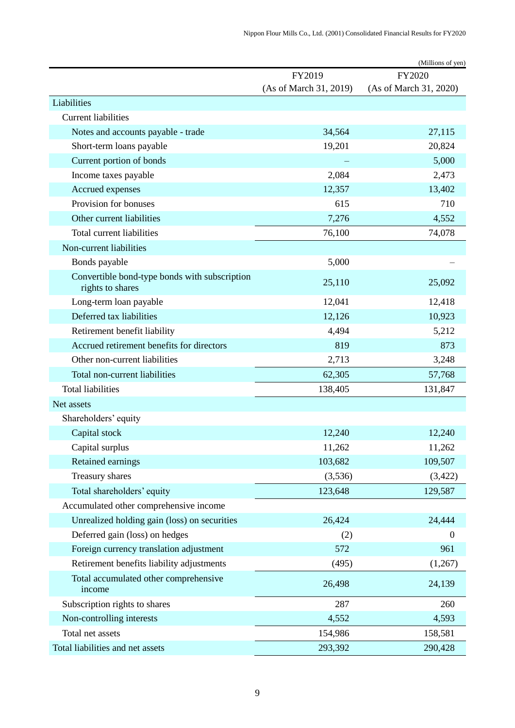|                                                                   |                        | (Millions of yen)      |
|-------------------------------------------------------------------|------------------------|------------------------|
|                                                                   | FY2019                 | FY2020                 |
|                                                                   | (As of March 31, 2019) | (As of March 31, 2020) |
| Liabilities                                                       |                        |                        |
| <b>Current liabilities</b>                                        |                        |                        |
| Notes and accounts payable - trade                                | 34,564                 | 27,115                 |
| Short-term loans payable                                          | 19,201                 | 20,824                 |
| Current portion of bonds                                          |                        | 5,000                  |
| Income taxes payable                                              | 2,084                  | 2,473                  |
| Accrued expenses                                                  | 12,357                 | 13,402                 |
| Provision for bonuses                                             | 615                    | 710                    |
| Other current liabilities                                         | 7,276                  | 4,552                  |
| Total current liabilities                                         | 76,100                 | 74,078                 |
| Non-current liabilities                                           |                        |                        |
| Bonds payable                                                     | 5,000                  |                        |
| Convertible bond-type bonds with subscription<br>rights to shares | 25,110                 | 25,092                 |
| Long-term loan payable                                            | 12,041                 | 12,418                 |
| Deferred tax liabilities                                          | 12,126                 | 10,923                 |
| Retirement benefit liability                                      | 4,494                  | 5,212                  |
| Accrued retirement benefits for directors                         | 819                    | 873                    |
| Other non-current liabilities                                     | 2,713                  | 3,248                  |
| Total non-current liabilities                                     | 62,305                 | 57,768                 |
| <b>Total liabilities</b>                                          | 138,405                | 131,847                |
| Net assets                                                        |                        |                        |
| Shareholders' equity                                              |                        |                        |
| Capital stock                                                     | 12,240                 | 12,240                 |
| Capital surplus                                                   | 11,262                 | 11,262                 |
| Retained earnings                                                 | 103,682                | 109,507                |
| Treasury shares                                                   | (3,536)                | (3,422)                |
| Total shareholders' equity                                        | 123,648                | 129,587                |
| Accumulated other comprehensive income                            |                        |                        |
| Unrealized holding gain (loss) on securities                      | 26,424                 | 24,444                 |
| Deferred gain (loss) on hedges                                    | (2)                    | $\boldsymbol{0}$       |
| Foreign currency translation adjustment                           | 572                    | 961                    |
| Retirement benefits liability adjustments                         | (495)                  | (1,267)                |
| Total accumulated other comprehensive<br>income                   | 26,498                 | 24,139                 |
| Subscription rights to shares                                     | 287                    | 260                    |
| Non-controlling interests                                         | 4,552                  | 4,593                  |
| Total net assets                                                  | 154,986                | 158,581                |
| Total liabilities and net assets                                  | 293,392                | 290,428                |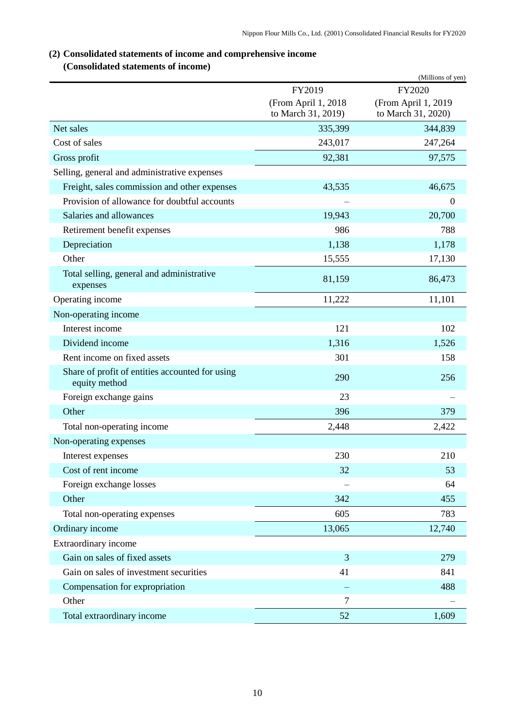# <span id="page-11-0"></span>**(2) Consolidated statements of income and comprehensive income**

# **(Consolidated statements of income)**

<span id="page-11-1"></span>

|                                                                  |                     | (Millions of yen)   |
|------------------------------------------------------------------|---------------------|---------------------|
|                                                                  | FY2019              | FY2020              |
|                                                                  | (From April 1, 2018 | (From April 1, 2019 |
|                                                                  | to March 31, 2019)  | to March 31, 2020)  |
| Net sales                                                        | 335,399             | 344,839             |
| Cost of sales                                                    | 243,017             | 247,264             |
| Gross profit                                                     | 92,381              | 97,575              |
| Selling, general and administrative expenses                     |                     |                     |
| Freight, sales commission and other expenses                     | 43,535              | 46,675              |
| Provision of allowance for doubtful accounts                     |                     | $\mathbf{0}$        |
| Salaries and allowances                                          | 19,943              | 20,700              |
| Retirement benefit expenses                                      | 986                 | 788                 |
| Depreciation                                                     | 1,138               | 1,178               |
| Other                                                            | 15,555              | 17,130              |
| Total selling, general and administrative<br>expenses            | 81,159              | 86,473              |
| Operating income                                                 | 11,222              | 11,101              |
| Non-operating income                                             |                     |                     |
| Interest income                                                  | 121                 | 102                 |
| Dividend income                                                  | 1,316               | 1,526               |
| Rent income on fixed assets                                      | 301                 | 158                 |
| Share of profit of entities accounted for using<br>equity method | 290                 | 256                 |
| Foreign exchange gains                                           | 23                  |                     |
| Other                                                            | 396                 | 379                 |
| Total non-operating income                                       | 2,448               | 2,422               |
| Non-operating expenses                                           |                     |                     |
| Interest expenses                                                | 230                 | 210                 |
| Cost of rent income                                              | 32                  | 53                  |
| Foreign exchange losses                                          |                     | 64                  |
| Other                                                            | 342                 | 455                 |
| Total non-operating expenses                                     | 605                 | 783                 |
| Ordinary income                                                  | 13,065              | 12,740              |
| Extraordinary income                                             |                     |                     |
| Gain on sales of fixed assets                                    | 3                   | 279                 |
| Gain on sales of investment securities                           | 41                  | 841                 |
| Compensation for expropriation                                   |                     | 488                 |
| Other                                                            | 7                   |                     |
| Total extraordinary income                                       | 52                  | 1,609               |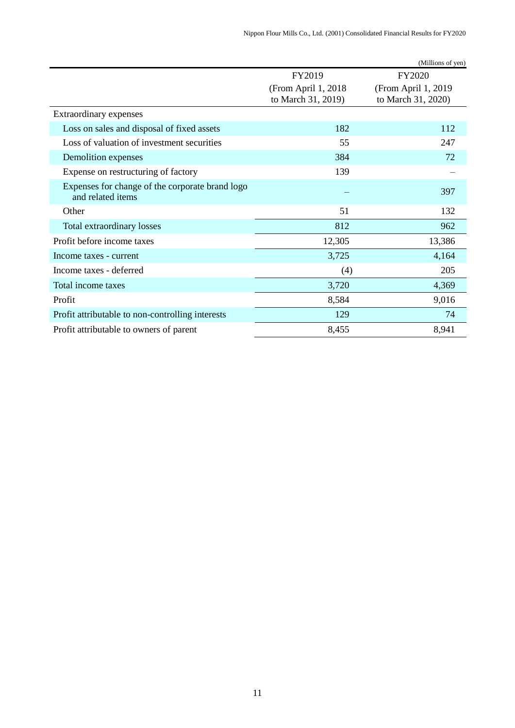|                                                                      |                                            | (Millions of yen)                         |
|----------------------------------------------------------------------|--------------------------------------------|-------------------------------------------|
|                                                                      | FY2019                                     | FY2020                                    |
|                                                                      | (From April 1, 2018)<br>to March 31, 2019) | (From April 1, 2019<br>to March 31, 2020) |
| Extraordinary expenses                                               |                                            |                                           |
| Loss on sales and disposal of fixed assets                           | 182                                        | 112                                       |
| Loss of valuation of investment securities                           | 55                                         | 247                                       |
| Demolition expenses                                                  | 384                                        | 72                                        |
| Expense on restructuring of factory                                  | 139                                        |                                           |
| Expenses for change of the corporate brand logo<br>and related items |                                            | 397                                       |
| Other                                                                | 51                                         | 132                                       |
| Total extraordinary losses                                           | 812                                        | 962                                       |
| Profit before income taxes                                           | 12,305                                     | 13,386                                    |
| Income taxes - current                                               | 3,725                                      | 4,164                                     |
| Income taxes - deferred                                              | (4)                                        | 205                                       |
| Total income taxes                                                   | 3,720                                      | 4,369                                     |
| Profit                                                               | 8,584                                      | 9,016                                     |
| Profit attributable to non-controlling interests                     | 129                                        | 74                                        |
| Profit attributable to owners of parent                              | 8,455                                      | 8,941                                     |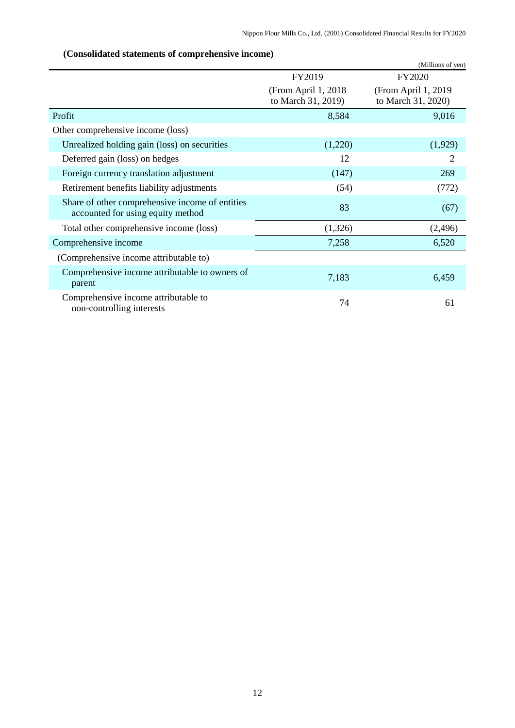<span id="page-13-0"></span>

|                                                                                      |                                            | (Millions of yen)                         |
|--------------------------------------------------------------------------------------|--------------------------------------------|-------------------------------------------|
|                                                                                      | FY2019                                     | FY2020                                    |
|                                                                                      | (From April 1, 2018)<br>to March 31, 2019) | (From April 1, 2019<br>to March 31, 2020) |
| Profit                                                                               | 8,584                                      | 9,016                                     |
| Other comprehensive income (loss)                                                    |                                            |                                           |
| Unrealized holding gain (loss) on securities                                         | (1,220)                                    | (1,929)                                   |
| Deferred gain (loss) on hedges                                                       | 12                                         | 2                                         |
| Foreign currency translation adjustment                                              | (147)                                      | 269                                       |
| Retirement benefits liability adjustments                                            | (54)                                       | (772)                                     |
| Share of other comprehensive income of entities<br>accounted for using equity method | 83                                         | (67)                                      |
| Total other comprehensive income (loss)                                              | (1,326)                                    | (2,496)                                   |
| Comprehensive income                                                                 | 7,258                                      | 6,520                                     |
| (Comprehensive income attributable to)                                               |                                            |                                           |
| Comprehensive income attributable to owners of<br>parent                             | 7,183                                      | 6,459                                     |
| Comprehensive income attributable to<br>non-controlling interests                    | 74                                         | 61                                        |

# **(Consolidated statements of comprehensive income)**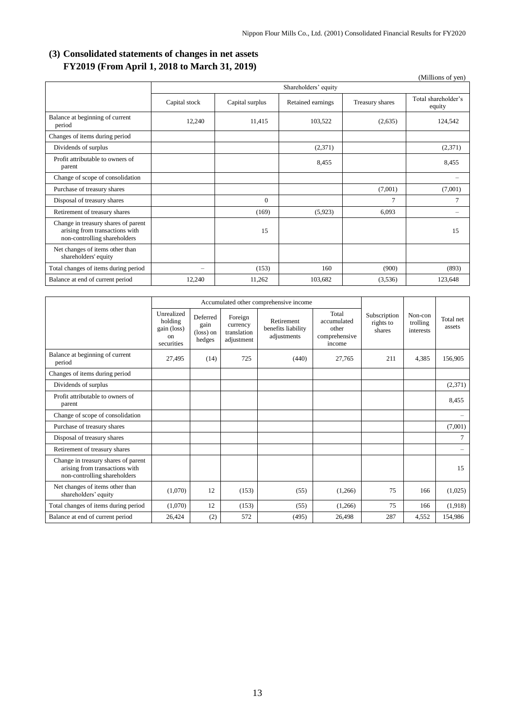# <span id="page-14-0"></span>**(3) Consolidated statements of changes in net assets FY2019 (From April 1, 2018 to March 31, 2019)**

|                                                                                                       |               |                      |                   |                 | (Millions of yen)             |  |  |
|-------------------------------------------------------------------------------------------------------|---------------|----------------------|-------------------|-----------------|-------------------------------|--|--|
|                                                                                                       |               | Shareholders' equity |                   |                 |                               |  |  |
|                                                                                                       | Capital stock | Capital surplus      | Retained earnings | Treasury shares | Total shareholder's<br>equity |  |  |
| Balance at beginning of current<br>period                                                             | 12,240        | 11,415               | 103,522           | (2,635)         | 124,542                       |  |  |
| Changes of items during period                                                                        |               |                      |                   |                 |                               |  |  |
| Dividends of surplus                                                                                  |               |                      | (2,371)           |                 | (2,371)                       |  |  |
| Profit attributable to owners of<br>parent                                                            |               |                      | 8,455             |                 | 8,455                         |  |  |
| Change of scope of consolidation                                                                      |               |                      |                   |                 | $\overline{\phantom{0}}$      |  |  |
| Purchase of treasury shares                                                                           |               |                      |                   | (7,001)         | (7,001)                       |  |  |
| Disposal of treasury shares                                                                           |               | $\theta$             |                   | 7               | $\overline{7}$                |  |  |
| Retirement of treasury shares                                                                         |               | (169)                | (5,923)           | 6,093           |                               |  |  |
| Change in treasury shares of parent<br>arising from transactions with<br>non-controlling shareholders |               | 15                   |                   |                 | 15                            |  |  |
| Net changes of items other than<br>shareholders' equity                                               |               |                      |                   |                 |                               |  |  |
| Total changes of items during period                                                                  | ÷             | (153)                | 160               | (900)           | (893)                         |  |  |
| Balance at end of current period                                                                      | 12,240        | 11,262               | 103,682           | (3,536)         | 123,648                       |  |  |

|                                                                                                       | Accumulated other comprehensive income                   |                                                  |                                                  |                                                 |                                                          |                                     |                                  |                     |
|-------------------------------------------------------------------------------------------------------|----------------------------------------------------------|--------------------------------------------------|--------------------------------------------------|-------------------------------------------------|----------------------------------------------------------|-------------------------------------|----------------------------------|---------------------|
|                                                                                                       | Unrealized<br>holding<br>gain (loss)<br>on<br>securities | Deferred<br>gain<br>$(\text{loss})$ on<br>hedges | Foreign<br>currency<br>translation<br>adjustment | Retirement<br>benefits liability<br>adjustments | Total<br>accumulated<br>other<br>comprehensive<br>income | Subscription<br>rights to<br>shares | Non-con<br>trolling<br>interests | Total net<br>assets |
| Balance at beginning of current<br>period                                                             | 27,495                                                   | (14)                                             | 725                                              | (440)                                           | 27,765                                                   | 211                                 | 4.385                            | 156,905             |
| Changes of items during period                                                                        |                                                          |                                                  |                                                  |                                                 |                                                          |                                     |                                  |                     |
| Dividends of surplus                                                                                  |                                                          |                                                  |                                                  |                                                 |                                                          |                                     |                                  | (2,371)             |
| Profit attributable to owners of<br>parent                                                            |                                                          |                                                  |                                                  |                                                 |                                                          |                                     |                                  | 8,455               |
| Change of scope of consolidation                                                                      |                                                          |                                                  |                                                  |                                                 |                                                          |                                     |                                  |                     |
| Purchase of treasury shares                                                                           |                                                          |                                                  |                                                  |                                                 |                                                          |                                     |                                  | (7,001)             |
| Disposal of treasury shares                                                                           |                                                          |                                                  |                                                  |                                                 |                                                          |                                     |                                  | $\tau$              |
| Retirement of treasury shares                                                                         |                                                          |                                                  |                                                  |                                                 |                                                          |                                     |                                  | -                   |
| Change in treasury shares of parent<br>arising from transactions with<br>non-controlling shareholders |                                                          |                                                  |                                                  |                                                 |                                                          |                                     |                                  | 15                  |
| Net changes of items other than<br>shareholders' equity                                               | (1,070)                                                  | 12                                               | (153)                                            | (55)                                            | (1,266)                                                  | 75                                  | 166                              | (1,025)             |
| Total changes of items during period                                                                  | (1,070)                                                  | 12                                               | (153)                                            | (55)                                            | (1,266)                                                  | 75                                  | 166                              | (1,918)             |
| Balance at end of current period                                                                      | 26.424                                                   | (2)                                              | 572                                              | (495)                                           | 26,498                                                   | 287                                 | 4,552                            | 154,986             |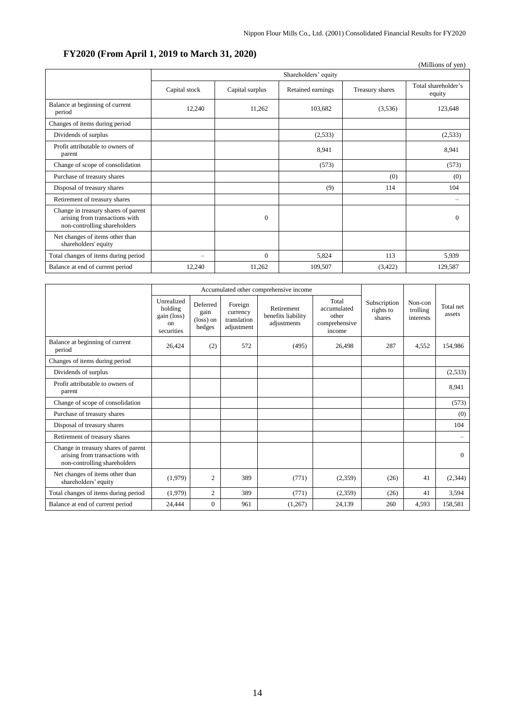# **FY2020 (From April 1, 2019 to March 31, 2020)**

|                                                                                                       |                      |                 |                   |                 | (Millions of yen)             |  |  |  |
|-------------------------------------------------------------------------------------------------------|----------------------|-----------------|-------------------|-----------------|-------------------------------|--|--|--|
|                                                                                                       | Shareholders' equity |                 |                   |                 |                               |  |  |  |
|                                                                                                       | Capital stock        | Capital surplus | Retained earnings | Treasury shares | Total shareholder's<br>equity |  |  |  |
| Balance at beginning of current<br>period                                                             | 12,240               | 11,262          | 103,682           | (3,536)         | 123,648                       |  |  |  |
| Changes of items during period                                                                        |                      |                 |                   |                 |                               |  |  |  |
| Dividends of surplus                                                                                  |                      |                 | (2,533)           |                 | (2,533)                       |  |  |  |
| Profit attributable to owners of<br>parent                                                            |                      |                 | 8,941             |                 | 8,941                         |  |  |  |
| Change of scope of consolidation                                                                      |                      |                 | (573)             |                 | (573)                         |  |  |  |
| Purchase of treasury shares                                                                           |                      |                 |                   | (0)             | (0)                           |  |  |  |
| Disposal of treasury shares                                                                           |                      |                 | (9)               | 114             | 104                           |  |  |  |
| Retirement of treasury shares                                                                         |                      |                 |                   |                 |                               |  |  |  |
| Change in treasury shares of parent<br>arising from transactions with<br>non-controlling shareholders |                      | $\mathbf{0}$    |                   |                 | $\Omega$                      |  |  |  |
| Net changes of items other than<br>shareholders' equity                                               |                      |                 |                   |                 |                               |  |  |  |
| Total changes of items during period                                                                  | $\qquad \qquad -$    | $\Omega$        | 5,824             | 113             | 5,939                         |  |  |  |
| Balance at end of current period                                                                      | 12,240               | 11.262          | 109,507           | (3,422)         | 129,587                       |  |  |  |

|                                                                                                       | Accumulated other comprehensive income                            |                                                  |                                                  |                                                 |                                                          |                                     |                                  |                          |
|-------------------------------------------------------------------------------------------------------|-------------------------------------------------------------------|--------------------------------------------------|--------------------------------------------------|-------------------------------------------------|----------------------------------------------------------|-------------------------------------|----------------------------------|--------------------------|
|                                                                                                       | Unrealized<br>holding<br>gain (loss)<br>$_{\rm on}$<br>securities | Deferred<br>gain<br>$(\text{loss})$ on<br>hedges | Foreign<br>currency<br>translation<br>adjustment | Retirement<br>benefits liability<br>adjustments | Total<br>accumulated<br>other<br>comprehensive<br>income | Subscription<br>rights to<br>shares | Non-con<br>trolling<br>interests | Total net<br>assets      |
| Balance at beginning of current<br>period                                                             | 26,424                                                            | (2)                                              | 572                                              | (495)                                           | 26,498                                                   | 287                                 | 4,552                            | 154,986                  |
| Changes of items during period                                                                        |                                                                   |                                                  |                                                  |                                                 |                                                          |                                     |                                  |                          |
| Dividends of surplus                                                                                  |                                                                   |                                                  |                                                  |                                                 |                                                          |                                     |                                  | (2,533)                  |
| Profit attributable to owners of<br>parent                                                            |                                                                   |                                                  |                                                  |                                                 |                                                          |                                     |                                  | 8,941                    |
| Change of scope of consolidation                                                                      |                                                                   |                                                  |                                                  |                                                 |                                                          |                                     |                                  | (573)                    |
| Purchase of treasury shares                                                                           |                                                                   |                                                  |                                                  |                                                 |                                                          |                                     |                                  | (0)                      |
| Disposal of treasury shares                                                                           |                                                                   |                                                  |                                                  |                                                 |                                                          |                                     |                                  | 104                      |
| Retirement of treasury shares                                                                         |                                                                   |                                                  |                                                  |                                                 |                                                          |                                     |                                  | $\overline{\phantom{0}}$ |
| Change in treasury shares of parent<br>arising from transactions with<br>non-controlling shareholders |                                                                   |                                                  |                                                  |                                                 |                                                          |                                     |                                  | $\Omega$                 |
| Net changes of items other than<br>shareholders' equity                                               | (1,979)                                                           | $\overline{2}$                                   | 389                                              | (771)                                           | (2,359)                                                  | (26)                                | 41                               | (2, 344)                 |
| Total changes of items during period                                                                  | (1,979)                                                           | $\overline{c}$                                   | 389                                              | (771)                                           | (2,359)                                                  | (26)                                | 41                               | 3,594                    |
| Balance at end of current period                                                                      | 24.444                                                            | $\Omega$                                         | 961                                              | (1,267)                                         | 24,139                                                   | 260                                 | 4,593                            | 158,581                  |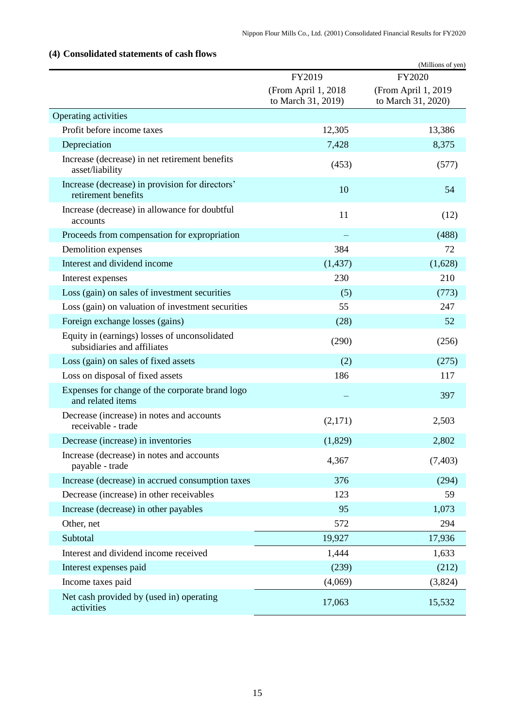# (Millions of yen) FY2019 (From April 1, 2018 to March 31, 2019) FY2020 (From April 1, 2019 to March 31, 2020) Operating activities Profit before income taxes 12,305 13,386 Depreciation 7,428 8,375 Increase (decrease) in net retirement benefits  $\frac{1}{2}$  asset/liability (453) (577) Increase (decrease) in provision for directors' retirement benefits 54<br>retirement benefits 54 Increase (decrease) in allowance for doubtful accounts  $11$  (12) Proceeds from compensation for expropriation  $\sim$  (488) Demolition expenses 384 72 Interest and dividend income (1,437) (1,628) Interest expenses 230 210 Loss (gain) on sales of investment securities (5) (773) Loss (gain) on valuation of investment securities 55 5 247 Foreign exchange losses (gains) (28) 52 Equity in (earnings) losses of unconsolidated quity in (earnings) fosses of unconsondated (290) (256)<br>subsidiaries and affiliates Loss (gain) on sales of fixed assets (2)  $(275)$ Loss on disposal of fixed assets 186 117 Expenses for change of the corporate brand logo and related items and related items and related items and related items of  $\sim$  397 Decrease (increase) in notes and accounts receivable - trade  $(2,171)$   $2,503$ <br>receivable - trade Decrease (increase) in inventories (1,829) 2,802 Increase (decrease) in notes and accounts  $\mu$  and  $\mu$  and  $\mu$  are the 4,367 (7,403) payable - trade  $(7,403)$ Increase (decrease) in accrued consumption taxes 376 (294) Decrease (increase) in other receivables 123 59 Increase (decrease) in other payables 95 1,073 Other, net 294 Subtotal 19,927 17,936 Interest and dividend income received 1,444 1,633 Interest expenses paid (239) (212) Income taxes paid  $(4,069)$   $(3,824)$ Net cash provided by (used in) operating activities 17,063 15,532

#### <span id="page-16-0"></span>**(4) Consolidated statements of cash flows**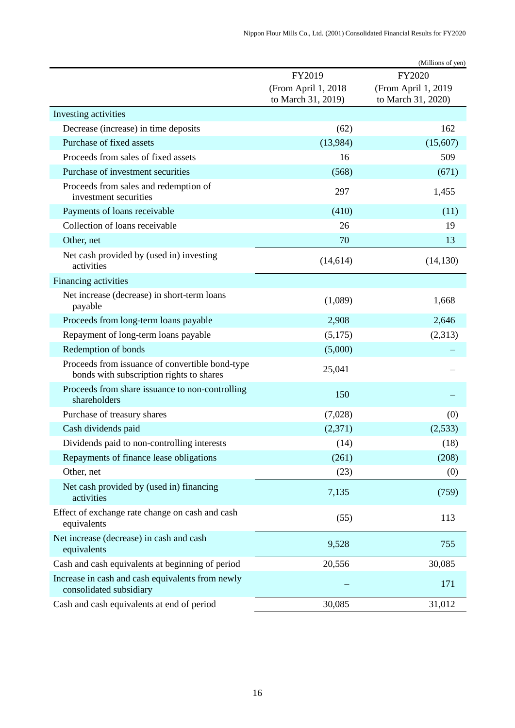|                                                                                             |                                           | (Millions of yen)                         |
|---------------------------------------------------------------------------------------------|-------------------------------------------|-------------------------------------------|
|                                                                                             | FY2019                                    | FY2020                                    |
|                                                                                             | (From April 1, 2018<br>to March 31, 2019) | (From April 1, 2019<br>to March 31, 2020) |
| Investing activities                                                                        |                                           |                                           |
| Decrease (increase) in time deposits                                                        | (62)                                      | 162                                       |
| Purchase of fixed assets                                                                    | (13,984)                                  | (15,607)                                  |
| Proceeds from sales of fixed assets                                                         | 16                                        | 509                                       |
| Purchase of investment securities                                                           | (568)                                     | (671)                                     |
| Proceeds from sales and redemption of<br>investment securities                              | 297                                       | 1,455                                     |
| Payments of loans receivable                                                                | (410)                                     | (11)                                      |
| Collection of loans receivable                                                              | 26                                        | 19                                        |
| Other, net                                                                                  | 70                                        | 13                                        |
| Net cash provided by (used in) investing<br>activities                                      | (14,614)                                  | (14, 130)                                 |
| Financing activities                                                                        |                                           |                                           |
| Net increase (decrease) in short-term loans<br>payable                                      | (1,089)                                   | 1,668                                     |
| Proceeds from long-term loans payable                                                       | 2,908                                     | 2,646                                     |
| Repayment of long-term loans payable                                                        | (5,175)                                   | (2,313)                                   |
| Redemption of bonds                                                                         | (5,000)                                   |                                           |
| Proceeds from issuance of convertible bond-type<br>bonds with subscription rights to shares | 25,041                                    |                                           |
| Proceeds from share issuance to non-controlling<br>shareholders                             | 150                                       |                                           |
| Purchase of treasury shares                                                                 | (7,028)                                   | (0)                                       |
| Cash dividends paid                                                                         | (2,371)                                   | (2,533)                                   |
| Dividends paid to non-controlling interests                                                 | (14)                                      | (18)                                      |
| Repayments of finance lease obligations                                                     | (261)                                     | (208)                                     |
| Other, net                                                                                  | (23)                                      | (0)                                       |
| Net cash provided by (used in) financing<br>activities                                      | 7,135                                     | (759)                                     |
| Effect of exchange rate change on cash and cash<br>equivalents                              | (55)                                      | 113                                       |
| Net increase (decrease) in cash and cash<br>equivalents                                     | 9,528                                     | 755                                       |
| Cash and cash equivalents at beginning of period                                            | 20,556                                    | 30,085                                    |
| Increase in cash and cash equivalents from newly<br>consolidated subsidiary                 |                                           | 171                                       |
| Cash and cash equivalents at end of period                                                  | 30,085                                    | 31,012                                    |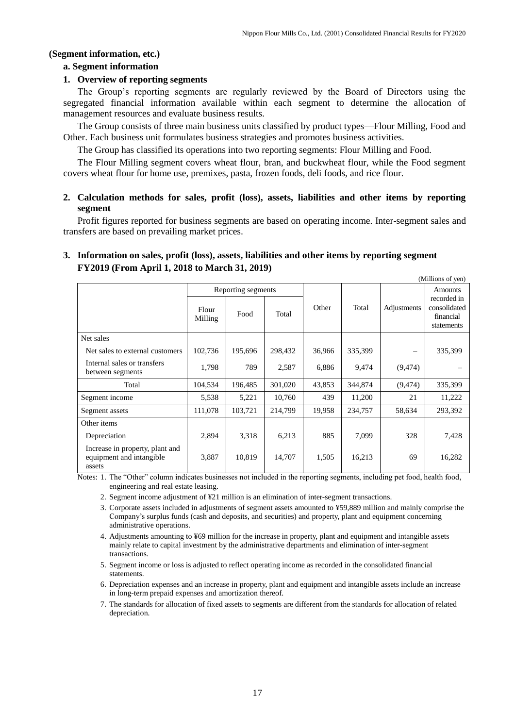## <span id="page-18-0"></span>**(Segment information, etc.)**

### **a. Segment information**

## **1. Overview of reporting segments**

The Group's reporting segments are regularly reviewed by the Board of Directors using the segregated financial information available within each segment to determine the allocation of management resources and evaluate business results.

The Group consists of three main business units classified by product types—Flour Milling, Food and Other. Each business unit formulates business strategies and promotes business activities.

The Group has classified its operations into two reporting segments: Flour Milling and Food.

The Flour Milling segment covers wheat flour, bran, and buckwheat flour, while the Food segment covers wheat flour for home use, premixes, pasta, frozen foods, deli foods, and rice flour.

## **2. Calculation methods for sales, profit (loss), assets, liabilities and other items by reporting segment**

Profit figures reported for business segments are based on operating income. Inter-segment sales and transfers are based on prevailing market prices.

# **3. Information on sales, profit (loss), assets, liabilities and other items by reporting segment FY2019 (From April 1, 2018 to March 31, 2019)**

|                                                                       |                    |         |         |        |         |                          | (Millions of yen)                                      |
|-----------------------------------------------------------------------|--------------------|---------|---------|--------|---------|--------------------------|--------------------------------------------------------|
|                                                                       | Reporting segments |         |         |        |         |                          | <b>Amounts</b>                                         |
|                                                                       | Flour<br>Milling   | Food    | Total   | Other  | Total   | Adjustments              | recorded in<br>consolidated<br>financial<br>statements |
| Net sales                                                             |                    |         |         |        |         |                          |                                                        |
| Net sales to external customers                                       | 102,736            | 195,696 | 298,432 | 36,966 | 335,399 | $\overline{\phantom{0}}$ | 335,399                                                |
| Internal sales or transfers<br>between segments                       | 1.798              | 789     | 2,587   | 6,886  | 9.474   | (9, 474)                 |                                                        |
| Total                                                                 | 104,534            | 196,485 | 301,020 | 43,853 | 344,874 | (9, 474)                 | 335,399                                                |
| Segment income                                                        | 5,538              | 5,221   | 10,760  | 439    | 11,200  | 21                       | 11,222                                                 |
| Segment assets                                                        | 111,078            | 103,721 | 214,799 | 19,958 | 234,757 | 58,634                   | 293,392                                                |
| Other items                                                           |                    |         |         |        |         |                          |                                                        |
| Depreciation                                                          | 2,894              | 3,318   | 6,213   | 885    | 7,099   | 328                      | 7,428                                                  |
| Increase in property, plant and<br>equipment and intangible<br>assets | 3,887              | 10,819  | 14,707  | 1,505  | 16,213  | 69                       | 16,282                                                 |

Notes: 1. The "Other" column indicates businesses not included in the reporting segments, including pet food, health food, engineering and real estate leasing.

- 2. Segment income adjustment of ¥21 million is an elimination of inter-segment transactions.
- 3. Corporate assets included in adjustments of segment assets amounted to ¥59,889 million and mainly comprise the Company's surplus funds (cash and deposits, and securities) and property, plant and equipment concerning administrative operations.
- 4. Adjustments amounting to ¥69 million for the increase in property, plant and equipment and intangible assets mainly relate to capital investment by the administrative departments and elimination of inter-segment transactions.
- 5. Segment income or loss is adjusted to reflect operating income as recorded in the consolidated financial statements.
- 6. Depreciation expenses and an increase in property, plant and equipment and intangible assets include an increase in long-term prepaid expenses and amortization thereof.
- 7. The standards for allocation of fixed assets to segments are different from the standards for allocation of related depreciation.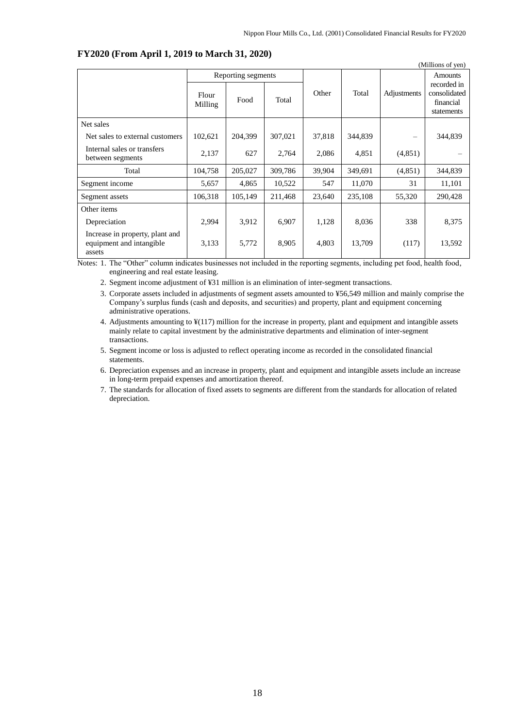| (Millions of yen)                                                     |                    |         |         |        |         |             |                                                        |  |
|-----------------------------------------------------------------------|--------------------|---------|---------|--------|---------|-------------|--------------------------------------------------------|--|
|                                                                       | Reporting segments |         |         |        |         |             | <b>Amounts</b>                                         |  |
|                                                                       | Flour<br>Milling   | Food    | Total   | Other  | Total   | Adjustments | recorded in<br>consolidated<br>financial<br>statements |  |
| Net sales                                                             |                    |         |         |        |         |             |                                                        |  |
| Net sales to external customers                                       | 102,621            | 204,399 | 307,021 | 37,818 | 344,839 |             | 344,839                                                |  |
| Internal sales or transfers<br>between segments                       | 2,137              | 627     | 2,764   | 2,086  | 4,851   | (4,851)     |                                                        |  |
| Total                                                                 | 104,758            | 205,027 | 309,786 | 39,904 | 349,691 | (4, 851)    | 344,839                                                |  |
| Segment income                                                        | 5,657              | 4,865   | 10,522  | 547    | 11,070  | 31          | 11,101                                                 |  |
| Segment assets                                                        | 106,318            | 105,149 | 211,468 | 23,640 | 235,108 | 55,320      | 290,428                                                |  |
| Other items                                                           |                    |         |         |        |         |             |                                                        |  |
| Depreciation                                                          | 2,994              | 3,912   | 6,907   | 1,128  | 8,036   | 338         | 8,375                                                  |  |
| Increase in property, plant and<br>equipment and intangible<br>assets | 3,133              | 5,772   | 8,905   | 4,803  | 13,709  | (117)       | 13,592                                                 |  |

#### **FY2020 (From April 1, 2019 to March 31, 2020)**

Notes: 1. The "Other" column indicates businesses not included in the reporting segments, including pet food, health food, engineering and real estate leasing.

2. Segment income adjustment of ¥31 million is an elimination of inter-segment transactions.

3. Corporate assets included in adjustments of segment assets amounted to ¥56,549 million and mainly comprise the Company's surplus funds (cash and deposits, and securities) and property, plant and equipment concerning administrative operations.

4. Adjustments amounting to ¥(117) million for the increase in property, plant and equipment and intangible assets mainly relate to capital investment by the administrative departments and elimination of inter-segment transactions.

5. Segment income or loss is adjusted to reflect operating income as recorded in the consolidated financial statements.

6. Depreciation expenses and an increase in property, plant and equipment and intangible assets include an increase in long-term prepaid expenses and amortization thereof.

7. The standards for allocation of fixed assets to segments are different from the standards for allocation of related depreciation.